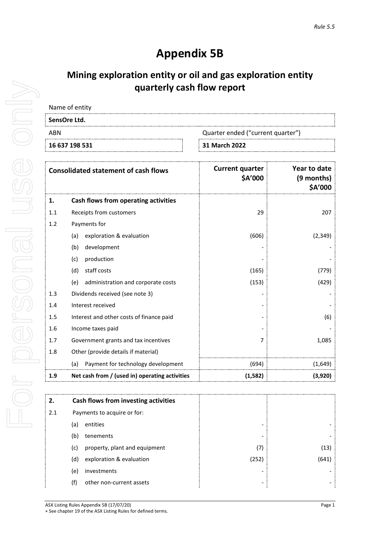## **Appendix 5B**

## **Mining exploration entity or oil and gas exploration entity quarterly cash flow report**

| 16 637 198 531 | 31 March 2022                     |
|----------------|-----------------------------------|
| ABN            | Quarter ended ("current quarter") |
| SensOre Ltd.   |                                   |
| Name of entity |                                   |

| <b>Consolidated statement of cash flows</b> |                                                | <b>Current quarter</b><br>\$A'000 | Year to date<br>(9 months)<br>\$A'000 |
|---------------------------------------------|------------------------------------------------|-----------------------------------|---------------------------------------|
| 1.                                          | Cash flows from operating activities           |                                   |                                       |
| 1.1                                         | Receipts from customers                        | 29                                | 207                                   |
| 1.2                                         | Payments for                                   |                                   |                                       |
|                                             | exploration & evaluation<br>(a)                | (606)                             | (2, 349)                              |
|                                             | development<br>(b)                             |                                   |                                       |
|                                             | production<br>(c)                              |                                   |                                       |
|                                             | staff costs<br>(d)                             | (165)                             | (779)                                 |
|                                             | administration and corporate costs<br>(e)      | (153)                             | (429)                                 |
| 1.3                                         | Dividends received (see note 3)                |                                   |                                       |
| 1.4                                         | Interest received                              |                                   |                                       |
| 1.5                                         | Interest and other costs of finance paid       |                                   | (6)                                   |
| 1.6                                         | Income taxes paid                              |                                   |                                       |
| 1.7                                         | Government grants and tax incentives           | 7                                 | 1,085                                 |
| 1.8                                         | Other (provide details if material)            |                                   |                                       |
|                                             | Payment for technology development<br>(a)      | (694)                             | (1,649)                               |
| 1.9                                         | Net cash from / (used in) operating activities | (1,582)                           | (3,920)                               |

|     |                             | Cash flows from investing activities |       |       |
|-----|-----------------------------|--------------------------------------|-------|-------|
| 2.1 | Payments to acquire or for: |                                      |       |       |
|     | (a)                         | entities                             | -     |       |
|     | (b)                         | tenements                            | -     |       |
|     | (c)                         | property, plant and equipment        | (7)   | (13)  |
|     | (d)                         | exploration & evaluation             | (252) | (641) |
|     | (e)                         | investments                          | -     |       |
|     | (f)                         | other non-current assets             | -     |       |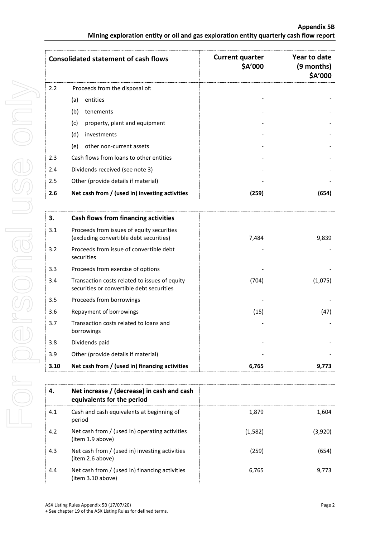| <b>Consolidated statement of cash flows</b> |                                                | <b>Current quarter</b><br>\$A'000 | Year to date<br>(9 months)<br>\$A'000 |
|---------------------------------------------|------------------------------------------------|-----------------------------------|---------------------------------------|
| 2.2                                         | Proceeds from the disposal of:                 |                                   |                                       |
|                                             | entities<br>(a)                                |                                   |                                       |
|                                             | (b)<br>tenements                               |                                   |                                       |
|                                             | (c)<br>property, plant and equipment           |                                   |                                       |
|                                             | (d)<br>investments                             |                                   |                                       |
|                                             | other non-current assets<br>(e)                |                                   |                                       |
| 2.3                                         | Cash flows from loans to other entities        |                                   |                                       |
| 2.4                                         | Dividends received (see note 3)                |                                   |                                       |
| 2.5                                         | Other (provide details if material)            |                                   |                                       |
| 2.6                                         | Net cash from / (used in) investing activities | (259)                             | (654)                                 |

| З.                                                           | Cash flows from financing activities                                                       |       |         |
|--------------------------------------------------------------|--------------------------------------------------------------------------------------------|-------|---------|
| 3.1                                                          | Proceeds from issues of equity securities<br>(excluding convertible debt securities)       | 7,484 | 9,839   |
| Proceeds from issue of convertible debt<br>3.2<br>securities |                                                                                            |       |         |
| 3.3                                                          | Proceeds from exercise of options                                                          |       |         |
| 3.4                                                          | Transaction costs related to issues of equity<br>securities or convertible debt securities | (704) | (1,075) |
| 3.5                                                          | Proceeds from borrowings                                                                   |       |         |
| 3.6                                                          | Repayment of borrowings                                                                    | (15)  | (47)    |
| 3.7<br>Transaction costs related to loans and<br>borrowings  |                                                                                            |       |         |
| 3.8                                                          | Dividends paid                                                                             |       |         |
| 3.9                                                          | Other (provide details if material)                                                        |       |         |
| 3.10                                                         | Net cash from / (used in) financing activities                                             | 6,765 | 9.773   |

| 4.  | Net increase / (decrease) in cash and cash<br>equivalents for the period |         |         |
|-----|--------------------------------------------------------------------------|---------|---------|
| 4.1 | Cash and cash equivalents at beginning of<br>period                      | 1.879   | 1.604   |
| 4.2 | Net cash from / (used in) operating activities<br>(item 1.9 above)       | (1,582) | (3,920) |
| 4.3 | Net cash from / (used in) investing activities<br>(item 2.6 above)       | (259)   | 654     |
| 4.4 | Net cash from / (used in) financing activities<br>(item 3.10 above)      | 6,765   | 9.773   |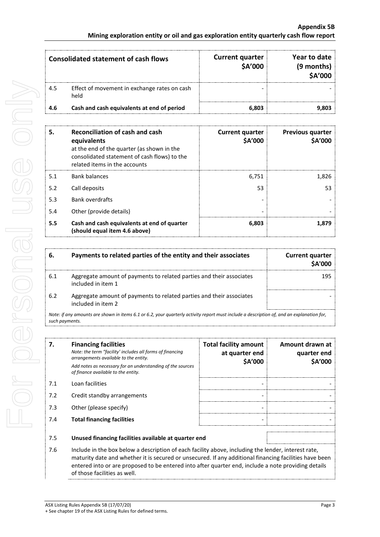| Consolidated statement of cash flows |                                                      | <b>Current quarter</b><br>\$A'000 | Year to date<br>(9 months)<br><b>\$A'000</b> |
|--------------------------------------|------------------------------------------------------|-----------------------------------|----------------------------------------------|
| 4.5                                  | Effect of movement in exchange rates on cash<br>held |                                   |                                              |
| 4.6                                  | Cash and cash equivalents at end of period           | 6.803                             |                                              |

| 5.  | <b>Reconciliation of cash and cash</b><br>equivalents<br>at the end of the quarter (as shown in the<br>consolidated statement of cash flows) to the<br>related items in the accounts | <b>Current quarter</b><br>\$A'000 | <b>Previous quarter</b><br><b>\$A'000</b> |
|-----|--------------------------------------------------------------------------------------------------------------------------------------------------------------------------------------|-----------------------------------|-------------------------------------------|
| 5.1 | <b>Bank balances</b>                                                                                                                                                                 | 6,751                             | 1,826                                     |
| 5.2 | Call deposits                                                                                                                                                                        | 53                                | 53                                        |
| 5.3 | <b>Bank overdrafts</b>                                                                                                                                                               |                                   |                                           |
| 5.4 | Other (provide details)                                                                                                                                                              |                                   |                                           |
| 5.5 | Cash and cash equivalents at end of quarter<br>(should equal item 4.6 above)                                                                                                         | 6,803                             | 1.879                                     |

|     | Payments to related parties of the entity and their associates                             | <b>Current quarter</b><br><b>SA'000</b> |
|-----|--------------------------------------------------------------------------------------------|-----------------------------------------|
| 6.1 | Aggregate amount of payments to related parties and their associates<br>included in item 1 |                                         |
| 6.2 | Aggregate amount of payments to related parties and their associates<br>included in item 2 |                                         |

*Note: if any amounts are shown in items 6.1 or 6.2, your quarterly activity report must include a description of, and an explanation for, such payments.*

| 7.  | <b>Financing facilities</b><br>Note: the term "facility' includes all forms of financing<br>arrangements available to the entity.<br>Add notes as necessary for an understanding of the sources<br>of finance available to the entity.                                                                                                               | <b>Total facility amount</b><br>at quarter end<br>\$A'000 | Amount drawn at<br>quarter end<br><b>\$A'000</b> |
|-----|------------------------------------------------------------------------------------------------------------------------------------------------------------------------------------------------------------------------------------------------------------------------------------------------------------------------------------------------------|-----------------------------------------------------------|--------------------------------------------------|
| 7.1 | Loan facilities                                                                                                                                                                                                                                                                                                                                      |                                                           |                                                  |
| 7.2 | Credit standby arrangements                                                                                                                                                                                                                                                                                                                          |                                                           |                                                  |
| 7.3 | Other (please specify)                                                                                                                                                                                                                                                                                                                               |                                                           |                                                  |
| 7.4 | <b>Total financing facilities</b>                                                                                                                                                                                                                                                                                                                    |                                                           |                                                  |
| 7.5 | Unused financing facilities available at quarter end                                                                                                                                                                                                                                                                                                 |                                                           |                                                  |
| 7.6 | Include in the box below a description of each facility above, including the lender, interest rate,<br>maturity date and whether it is secured or unsecured. If any additional financing facilities have been<br>entered into or are proposed to be entered into after quarter end, include a note providing details<br>of those facilities as well. |                                                           |                                                  |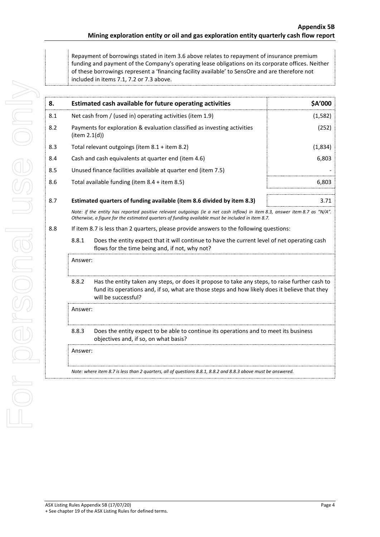Repayment of borrowings stated in item 3.6 above relates to repayment of insurance premium funding and payment of the Company's operating lease obligations on its corporate offices. Neither of these borrowings represent a 'financing facility available' to SensOre and are therefore not included in items 7.1, 7.2 or 7.3 above.

| 8.  |                                                                                                                                                                                                                                 | Estimated cash available for future operating activities                                                                                                                                                               | \$A'000 |
|-----|---------------------------------------------------------------------------------------------------------------------------------------------------------------------------------------------------------------------------------|------------------------------------------------------------------------------------------------------------------------------------------------------------------------------------------------------------------------|---------|
| 8.1 | Net cash from / (used in) operating activities (item 1.9)                                                                                                                                                                       |                                                                                                                                                                                                                        | (1,582) |
| 8.2 | item 2.1(d))                                                                                                                                                                                                                    | Payments for exploration & evaluation classified as investing activities                                                                                                                                               | (252)   |
| 8.3 |                                                                                                                                                                                                                                 | Total relevant outgoings (item 8.1 + item 8.2)                                                                                                                                                                         | (1,834) |
| 8.4 |                                                                                                                                                                                                                                 | Cash and cash equivalents at quarter end (item 4.6)                                                                                                                                                                    | 6,803   |
| 8.5 |                                                                                                                                                                                                                                 | Unused finance facilities available at quarter end (item 7.5)                                                                                                                                                          |         |
| 8.6 |                                                                                                                                                                                                                                 | Total available funding (item 8.4 + item 8.5)                                                                                                                                                                          | 6,803   |
| 8.7 |                                                                                                                                                                                                                                 | Estimated quarters of funding available (item 8.6 divided by item 8.3)                                                                                                                                                 | 3.71    |
|     | Note: if the entity has reported positive relevant outgoings (ie a net cash inflow) in item 8.3, answer item 8.7 as "N/A".<br>Otherwise, a figure for the estimated quarters of funding available must be included in item 8.7. |                                                                                                                                                                                                                        |         |
| 8.8 | If item 8.7 is less than 2 quarters, please provide answers to the following questions:                                                                                                                                         |                                                                                                                                                                                                                        |         |
|     | 8.8.1<br>Does the entity expect that it will continue to have the current level of net operating cash<br>flows for the time being and, if not, why not?                                                                         |                                                                                                                                                                                                                        |         |
|     | Answer:                                                                                                                                                                                                                         |                                                                                                                                                                                                                        |         |
|     | 8.8.2                                                                                                                                                                                                                           | Has the entity taken any steps, or does it propose to take any steps, to raise further cash to<br>fund its operations and, if so, what are those steps and how likely does it believe that they<br>will be successful? |         |
|     | Answer:                                                                                                                                                                                                                         |                                                                                                                                                                                                                        |         |
|     | 8.8.3<br>Does the entity expect to be able to continue its operations and to meet its business<br>objectives and, if so, on what basis?                                                                                         |                                                                                                                                                                                                                        |         |
|     | Answer:                                                                                                                                                                                                                         |                                                                                                                                                                                                                        |         |
|     |                                                                                                                                                                                                                                 | Note: where item 8.7 is less than 2 quarters, all of questions 8.8.1, 8.8.2 and 8.8.3 above must be answered.                                                                                                          |         |